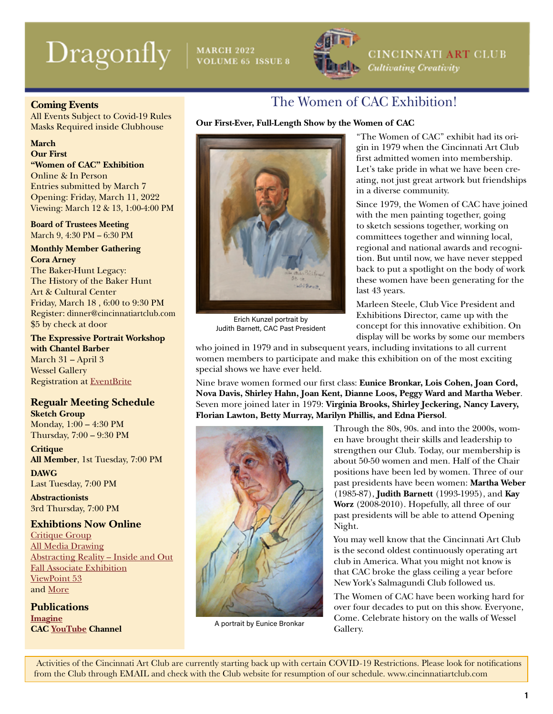# $\text{Dragonly}$  | MARCH 2022 ISSUE 8



CINCINNATI ART CLUB **Cultivating Creativity** 

### **Coming Events**

All Events Subject to Covid-19 Rules Masks Required inside Clubhouse

### **March**

**Our First "Women of CAC" Exhibition** Online & In Person

Entries submitted by March 7 Opening: Friday, March 11, 2022 Viewing: March 12 & 13, 1:00-4:00 PM

**Board of Trustees Meeting** March 9, 4:30 PM – 6:30 PM

### **Monthly Member Gathering Cora Arney**

The Baker-Hunt Legacy: The History of the Baker Hunt Art & Cultural Center Friday, March 18 , 6:00 to 9:30 PM Register: dinner@cincinnatiartclub.com \$5 by check at door

**The Expressive Portrait Workshop with Chantel Barber** March 31 – April 3 Wessel Gallery Registration at [EventBrite](https://www.eventbrite.com/e/the-expressive-portrait-with-chantel-lynn-barber-a-painting-experience-tickets-268606357847?utm-campaign=social%2Cemail&utm-content=attendeeshare&utm-medium=discovery&utm-source=strongmail&utm-term=listing)

### **Regualr Meeting Schedule Sketch Group**

Monday, 1:00 – 4:30 PM Thursday, 7:00 – 9:30 PM

**Critique All Member**, 1st Tuesday, 7:00 PM **DAWG**

Last Tuesday, 7:00 PM

**Abstractionists** 3rd Thursday, 7:00 PM

### **Exhibtions Now Online**

[Critique Group](https://cincinnatiartclub.org/2022-critique-group-exhibition/) [All Media Drawing](https://cincinnatiartclub.org/2022-all-media-drawing/) [Abstracting Reality – Inside and Out](https://cincinnatiartclub.org/2021-abstract-exhibition/) [Fall Associate Exhibition](https://cincinnatiartclub.org/2021-fall-associate-exhibition/) [ViewPoint 53](https://cincinnatiartclub.org/viewpoint/) and [More](https://cincinnatiartclub.org/exhibitions/)

**Publications [Imagine](https://cincinnatiartclub.org/community/imagine-magazine/) CAC [YouTube](https://www.youtube.com/channel/UCUfJGPsIhKnIrCSoALXW2LA) Channel**

## The Women of CAC Exhibition!

### **Our First-Ever, Full-Length Show by the Women of CAC**



Erich Kunzel portrait by Judith Barnett, CAC Past President

"The Women of CAC" exhibit had its origin in 1979 when the Cincinnati Art Club first admitted women into membership. Let's take pride in what we have been creating, not just great artwork but friendships in a diverse community.

Since 1979, the Women of CAC have joined with the men painting together, going to sketch sessions together, working on committees together and winning local, regional and national awards and recognition. But until now, we have never stepped back to put a spotlight on the body of work these women have been generating for the last 43 years.

Marleen Steele, Club Vice President and Exhibitions Director, came up with the concept for this innovative exhibition. On display will be works by some our members

who joined in 1979 and in subsequent years, including invitations to all current women members to participate and make this exhibition on of the most exciting special shows we have ever held.

Nine brave women formed our first class: **Eunice Bronkar, Lois Cohen, Joan Cord, Nova Davis, Shirley Hahn, Joan Kent, Dianne Loos, Peggy Ward and Martha Weber**. Seven more joined later in 1979: **Virginia Brooks, Shirley Jeckering, Nancy Lavery, Florian Lawton, Betty Murray, Marilyn Phillis, and Edna Piersol**.



A portrait by Eunice Bronkar

Through the 80s, 90s. and into the 2000s, women have brought their skills and leadership to strengthen our Club. Today, our membership is about 50-50 women and men. Half of the Chair positions have been led by women. Three of our past presidents have been women: **Martha Weber** (1985-87), **Judith Barnett** (1993-1995), and **Kay Worz** (2008-2010). Hopefully, all three of our past presidents will be able to attend Opening Night.

You may well know that the Cincinnati Art Club is the second oldest continuously operating art club in America. What you might not know is that CAC broke the glass ceiling a year before New York's Salmagundi Club followed us.

The Women of CAC have been working hard for over four decades to put on this show. Everyone, Come. Celebrate history on the walls of Wessel Gallery.

 Activities of the Cincinnati Art Club are currently starting back up with certain COVID-19 Restrictions. Please look for notifications from the Club through EMAIL and check with the Club website for resumption of our schedule. www.cincinnatiartclub.com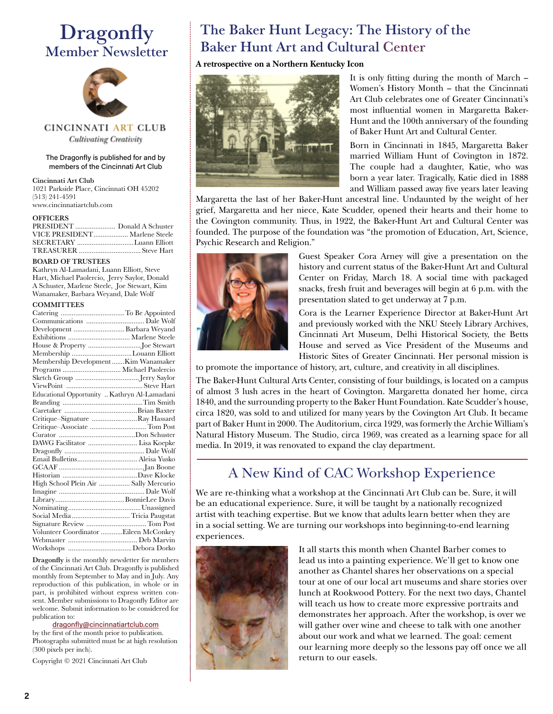# **Dragonfly** Member Newsletter



CINCINNATI ART CLUB **Cultivating Creativity** 

#### The Dragonfly is published for and by members of the Cincinnati Art Club

#### Cincinnati Art Club 1021 Parkside Place, Cincinnati OH 45202 (513) 241-4591

www.cincinnatiartclub.com

#### **OFFICERS**

| VICE PRESIDENT Marlene Steele |  |
|-------------------------------|--|
|                               |  |
|                               |  |

#### BOARD OF TRUSTEES

Kathryn Al-Lamadani, Luann Elliott, Steve Hart, Michael Paolercio, Jerry Saylor, Donald A Schuster, Marlene Steele, Joe Stewart, Kim Wanamaker, Barbara Weyand, Dale Wolf

#### **COMMITTEES**

| Development  Barbara Weyand                  |  |
|----------------------------------------------|--|
|                                              |  |
|                                              |  |
| Membership Louann Elliott                    |  |
| Membership DevelopmentKim Wanamaker          |  |
|                                              |  |
|                                              |  |
|                                              |  |
| Educational Opportunity  Kathryn Al-Lamadani |  |
|                                              |  |
|                                              |  |
| Critique–Signature Ray Hassard               |  |
| Critique-Associate  Tom Post                 |  |
|                                              |  |
| DAWG Facilitator  Lisa Koepke                |  |
|                                              |  |
|                                              |  |
|                                              |  |
|                                              |  |
| High School Plein Air  Sally Mercurio        |  |
|                                              |  |
|                                              |  |
|                                              |  |
| Social Media Tricia Paugstat                 |  |
|                                              |  |
| Volunteer Coordinator Eileen McConkey        |  |
|                                              |  |
|                                              |  |
|                                              |  |

Dragonfly is the monthly newsletter for members of the Cincinnati Art Club. Dragonfly is published monthly from September to May and in July. Any reproduction of this publication, in whole or in part, is prohibited without express written consent. Member submissions to Dragonfly Editor are welcome. Submit information to be considered for publication to:

#### [dragonfly@cincinnatiartclub.com](mailto:dragonfly%40cincinnatiartclub.com?subject=dragonfly%40cincinnatiartclub.com)

by the first of the month prior to publication. Photographs submitted must be at high resolution (300 pixels per inch).

Copyright © 2021 Cincinnati Art Club

# The Baker Hunt Legacy: The History of the Baker Hunt Art and Cultural Center

#### **A retrospective on a Northern Kentucky Icon**



It is only fitting during the month of March – Women's History Month – that the Cincinnati Art Club celebrates one of Greater Cincinnati's most influential women in Margaretta Baker-Hunt and the 100th anniversary of the founding of Baker Hunt Art and Cultural Center.

Born in Cincinnati in 1845, Margaretta Baker married William Hunt of Covington in 1872. The couple had a daughter, Katie, who was born a year later. Tragically, Katie died in 1888 and William passed away five years later leaving

Margaretta the last of her Baker-Hunt ancestral line. Undaunted by the weight of her grief, Margaretta and her niece, Kate Scudder, opened their hearts and their home to the Covington community. Thus, in 1922, the Baker-Hunt Art and Cultural Center was founded. The purpose of the foundation was "the promotion of Education, Art, Science, Psychic Research and Religion."



Guest Speaker Cora Arney will give a presentation on the history and current status of the Baker-Hunt Art and Cultural Center on Friday, March 18. A social time with packaged snacks, fresh fruit and beverages will begin at 6 p.m. with the presentation slated to get underway at 7 p.m.

Cora is the Learner Experience Director at Baker-Hunt Art and previously worked with the NKU Steely Library Archives, Cincinnati Art Museum, Delhi Historical Society, the Betts House and served as Vice President of the Museums and Historic Sites of Greater Cincinnati. Her personal mission is

to promote the importance of history, art, culture, and creativity in all disciplines.

The Baker-Hunt Cultural Arts Center, consisting of four buildings, is located on a campus of almost 3 lush acres in the heart of Covington. Margaretta donated her home, circa 1840, and the surrounding property to the Baker Hunt Foundation. Kate Scudder's house, circa 1820, was sold to and utilized for many years by the Covington Art Club. It became part of Baker Hunt in 2000. The Auditorium, circa 1929, was formerly the Archie William's Natural History Museum. The Studio, circa 1969, was created as a learning space for all media. In 2019, it was renovated to expand the clay department.

# A New Kind of CAC Workshop Experience

We are re-thinking what a workshop at the Cincinnati Art Club can be. Sure, it will be an educational experience. Sure, it will be taught by a nationally recognized artist with teaching expertise. But we know that adults learn better when they are in a social setting. We are turning our workshops into beginning-to-end learning experiences.



It all starts this month when Chantel Barber comes to lead us into a painting experience. We'll get to know one another as Chantel shares her observations on a special tour at one of our local art museums and share stories over lunch at Rookwood Pottery. For the next two days, Chantel will teach us how to create more expressive portraits and demonstrates her approach. After the workshop, is over we will gather over wine and cheese to talk with one another about our work and what we learned. The goal: cement our learning more deeply so the lessons pay off once we all return to our easels.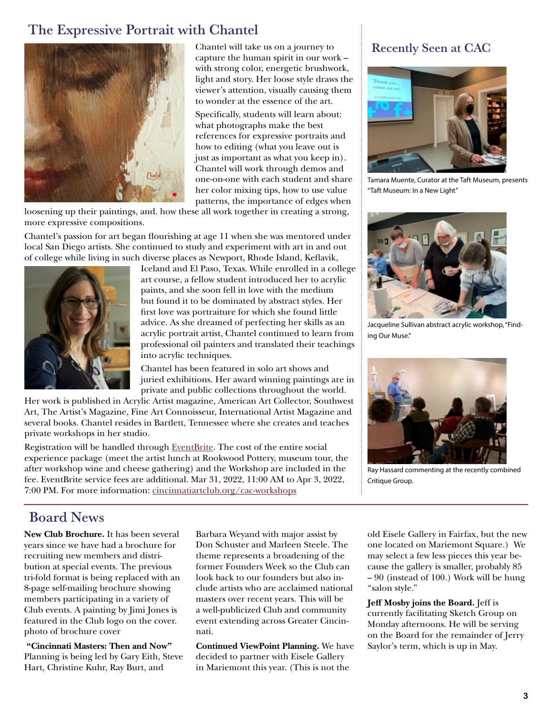# The Expressive Portrait with Chantel



Chantel will take us on a journey to capture the human spirit in our work – with strong color, energetic brushwork, light and story. Her loose style draws the viewer's attention, visually causing them to wonder at the essence of the art.

Specifically, students will learn about: what photographs make the best references for expressive portraits and how to editing (what you leave out is just as important as what you keep in). Chantel will work through demos and one-on-one with each student and share her color mixing tips, how to use value patterns, the importance of edges when

loosening up their paintings, and. how these all work together in creating a strong, more expressive compositions.

Chantel's passion for art began flourishing at age 11 when she was mentored under local San Diego artists. She continued to study and experiment with art in and out of college while living in such diverse places as Newport, Rhode Island, Keflavik,



Iceland and El Paso, Texas. While enrolled in a college art course, a fellow student introduced her to acrylic paints, and she soon fell in love with the medium but found it to be dominated by abstract styles. Her first love was portraiture for which she found little advice. As she dreamed of perfecting her skills as an acrylic portrait artist, Chantel continued to learn from professional oil painters and translated their teachings into acrylic techniques.

Chantel has been featured in solo art shows and juried exhibitions. Her award winning paintings are in private and public collections throughout the world.

Her work is published in Acrylic Artist magazine, American Art Collector, Southwest Art, The Artist's Magazine, Fine Art Connoisseur, International Artist Magazine and several books. Chantel resides in Bartlett, Tennessee where she creates and teaches private workshops in her studio.

Registration will be handled through [EventBrite](https://www.eventbrite.com/e/the-expressive-portrait-with-chantel-lynn-barber-a-painting-experience-tickets-268606357847?utm-campaign=social%2Cemail&utm-content=attendeeshare&utm-medium=discovery&utm-source=strongmail&utm-term=listing). The cost of the entire social experience package (meet the artist lunch at Rookwood Pottery, museum tour, the after workshop wine and cheese gathering) and the Workshop are included in the fee. EventBrite service fees are additional. Mar 31, 2022, 11:00 AM to Apr 3, 2022, 7:00 PM. For more information: [cincinnatiartclub.org/cac-workshops](https://cincinnatiartclub.org/cac-workshops/)

### Recently Seen at CAC



Tamara Muente, Curator at the Taft Museum, presents "Taft Museum: In a New Light"



Jacqueline Sullivan abstract acrylic workshop, "Finding Our Muse."



Ray Hassard commenting at the recently combined Critique Group.

# Board News

**New Club Brochure.** It has been several years since we have had a brochure for recruiting new members and distribution at special events. The previous tri-fold format is being replaced with an 8-page self-mailing brochure showing members participating in a variety of Club events. A painting by Jimi Jones is featured in the Club logo on the cover. photo of brochure cover

 **"Cincinnati Masters: Then and Now"**  Planning is being led by Gary Eith, Steve Hart, Christine Kuhr, Ray Burt, and

Barbara Weyand with major assist by Don Schuster and Marleen Steele. The theme represents a broadening of the former Founders Week so the Club can look back to our founders but also include artists who are acclaimed national masters over recent years. This will be a well-publicized Club and community event extending across Greater Cincinnati.

**Continued ViewPoint Planning.** We have decided to partner with Eisele Gallery in Mariemont this year. (This is not the

old Eisele Gallery in Fairfax, but the new one located on Mariemont Square.) We may select a few less pieces this year because the gallery is smaller, probably 85 – 90 (instead of 100.) Work will be hung "salon style."

**Jeff Mosby joins the Board.** Jeff is currently facilitating Sketch Group on Monday afternoons. He will be serving on the Board for the remainder of Jerry Saylor's term, which is up in May.